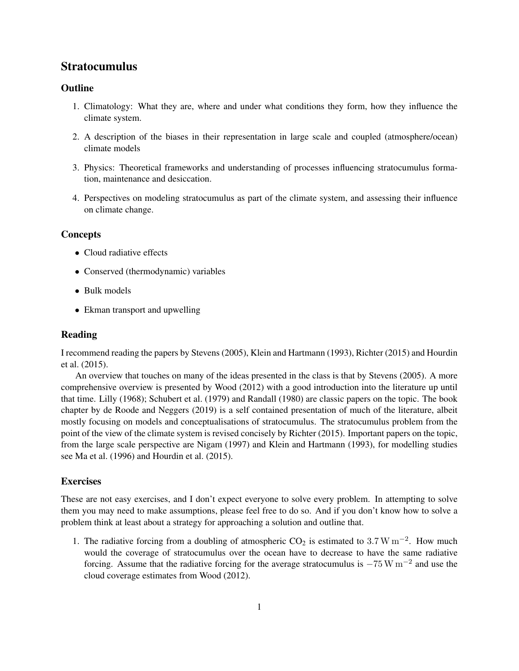# Stratocumulus

### **Outline**

- 1. Climatology: What they are, where and under what conditions they form, how they influence the climate system.
- 2. A description of the biases in their representation in large scale and coupled (atmosphere/ocean) climate models
- 3. Physics: Theoretical frameworks and understanding of processes influencing stratocumulus formation, maintenance and desiccation.
- 4. Perspectives on modeling stratocumulus as part of the climate system, and assessing their influence on climate change.

#### **Concepts**

- Cloud radiative effects
- Conserved (thermodynamic) variables
- Bulk models
- Ekman transport and upwelling

### Reading

I recommend reading the papers by [Stevens](#page-2-0) [\(2005\)](#page-2-0), [Klein and Hartmann](#page-2-1) [\(1993\)](#page-2-1), [Richter](#page-2-2) [\(2015\)](#page-2-2) and [Hourdin](#page-1-0) [et al.](#page-1-0) [\(2015\)](#page-1-0).

An overview that touches on many of the ideas presented in the class is that by [Stevens](#page-2-0) [\(2005\)](#page-2-0). A more comprehensive overview is presented by [Wood](#page-2-3) [\(2012\)](#page-2-3) with a good introduction into the literature up until that time. [Lilly](#page-2-4) [\(1968\)](#page-2-4); [Schubert et al.](#page-2-5) [\(1979\)](#page-2-5) and [Randall](#page-2-6) [\(1980\)](#page-2-6) are classic papers on the topic. The book chapter by [de Roode and Neggers](#page-1-1) [\(2019\)](#page-1-1) is a self contained presentation of much of the literature, albeit mostly focusing on models and conceptualisations of stratocumulus. The stratocumulus problem from the point of the view of the climate system is revised concisely by [Richter](#page-2-2) [\(2015\)](#page-2-2). Important papers on the topic, from the large scale perspective are [Nigam](#page-2-7) [\(1997\)](#page-2-7) and [Klein and Hartmann](#page-2-1) [\(1993\)](#page-2-1), for modelling studies see [Ma et al.](#page-2-8) [\(1996\)](#page-2-8) and [Hourdin et al.](#page-1-0) [\(2015\)](#page-1-0).

### **Exercises**

These are not easy exercises, and I don't expect everyone to solve every problem. In attempting to solve them you may need to make assumptions, please feel free to do so. And if you don't know how to solve a problem think at least about a strategy for approaching a solution and outline that.

1. The radiative forcing from a doubling of atmospheric  $CO_2$  is estimated to 3.7 W m<sup>-2</sup>. How much would the coverage of stratocumulus over the ocean have to decrease to have the same radiative forcing. Assume that the radiative forcing for the average stratocumulus is  $-75 \,\mathrm{W m^{-2}}$  and use the cloud coverage estimates from [Wood](#page-2-3) [\(2012\)](#page-2-3).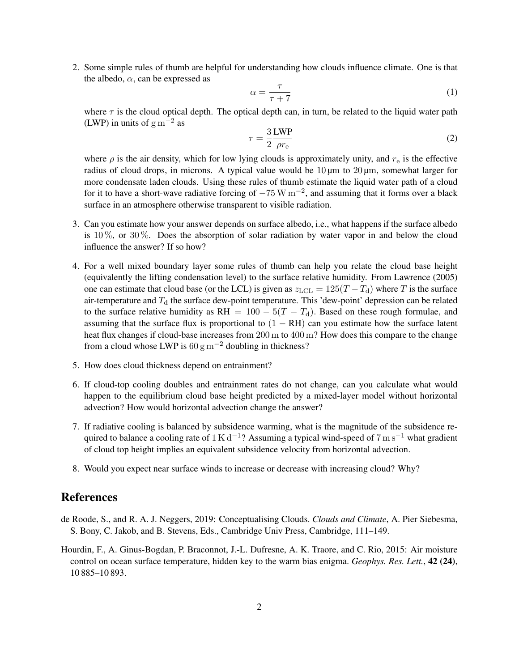2. Some simple rules of thumb are helpful for understanding how clouds influence climate. One is that the albedo,  $\alpha$ , can be expressed as

$$
\alpha = \frac{\tau}{\tau + 7} \tag{1}
$$

where  $\tau$  is the cloud optical depth. The optical depth can, in turn, be related to the liquid water path (LWP) in units of  $\rm g~m^{-2}$  as

$$
\tau = \frac{3}{2} \frac{\text{LWP}}{\rho r_{\text{e}}}
$$
 (2)

where  $\rho$  is the air density, which for low lying clouds is approximately unity, and  $r_{\rm e}$  is the effective radius of cloud drops, in microns. A typical value would be  $10 \mu m$  to  $20 \mu m$ , somewhat larger for more condensate laden clouds. Using these rules of thumb estimate the liquid water path of a cloud for it to have a short-wave radiative forcing of  $-75 \,\mathrm{W\,m^{-2}}$ , and assuming that it forms over a black surface in an atmosphere otherwise transparent to visible radiation.

- 3. Can you estimate how your answer depends on surface albedo, i.e., what happens if the surface albedo is  $10\%$ , or  $30\%$ . Does the absorption of solar radiation by water vapor in and below the cloud influence the answer? If so how?
- 4. For a well mixed boundary layer some rules of thumb can help you relate the cloud base height (equivalently the lifting condensation level) to the surface relative humidity. From [Lawrence](#page-2-9) [\(2005\)](#page-2-9) one can estimate that cloud base (or the LCL) is given as  $z_{\text{LCL}} = 125(T - T_d)$  where T is the surface air-temperature and  $T_d$  the surface dew-point temperature. This 'dew-point' depression can be related to the surface relative humidity as RH =  $100 - 5(T - T_d)$ . Based on these rough formulae, and assuming that the surface flux is proportional to  $(1 - RH)$  can you estimate how the surface latent heat flux changes if cloud-base increases from 200 m to 400 m? How does this compare to the change from a cloud whose LWP is  $60 \text{ g m}^{-2}$  doubling in thickness?
- 5. How does cloud thickness depend on entrainment?
- 6. If cloud-top cooling doubles and entrainment rates do not change, can you calculate what would happen to the equilibrium cloud base height predicted by a mixed-layer model without horizontal advection? How would horizontal advection change the answer?
- 7. If radiative cooling is balanced by subsidence warming, what is the magnitude of the subsidence required to balance a cooling rate of 1 K d<sup>-1</sup>? Assuming a typical wind-speed of 7 m s<sup>-1</sup> what gradient of cloud top height implies an equivalent subsidence velocity from horizontal advection.
- 8. Would you expect near surface winds to increase or decrease with increasing cloud? Why?

## References

- <span id="page-1-1"></span>de Roode, S., and R. A. J. Neggers, 2019: Conceptualising Clouds. *Clouds and Climate*, A. Pier Siebesma, S. Bony, C. Jakob, and B. Stevens, Eds., Cambridge Univ Press, Cambridge, 111–149.
- <span id="page-1-0"></span>Hourdin, F., A. Ginus-Bogdan, P. Braconnot, J.-L. Dufresne, A. K. Traore, and C. Rio, 2015: Air moisture control on ocean surface temperature, hidden key to the warm bias enigma. *Geophys. Res. Lett.*, 42 (24), 10 885–10 893.